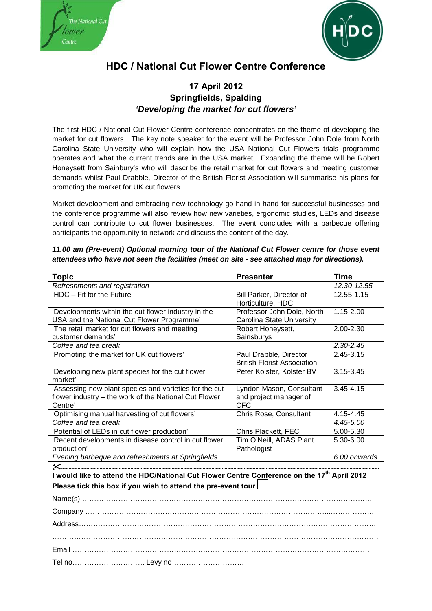



## **HDC / National Cut Flower Centre Conference**

## **17 April 2012 Springfields, Spalding** *'Developing the market for cut flowers'*

The first HDC / National Cut Flower Centre conference concentrates on the theme of developing the market for cut flowers. The key note speaker for the event will be Professor John Dole from North Carolina State University who will explain how the USA National Cut Flowers trials programme operates and what the current trends are in the USA market. Expanding the theme will be Robert Honeysett from Sainbury's who will describe the retail market for cut flowers and meeting customer demands whilst Paul Drabble, Director of the British Florist Association will summarise his plans for promoting the market for UK cut flowers.

Market development and embracing new technology go hand in hand for successful businesses and the conference programme will also review how new varieties, ergonomic studies, LEDs and disease control can contribute to cut flower businesses. The event concludes with a barbecue offering participants the opportunity to network and discuss the content of the day.

| 11.00 am (Pre-event) Optional morning tour of the National Cut Flower centre for those event |
|----------------------------------------------------------------------------------------------|
| attendees who have not seen the facilities (meet on site - see attached map for directions). |

| <b>Topic</b>                                           | <b>Presenter</b>                   | <b>Time</b>   |
|--------------------------------------------------------|------------------------------------|---------------|
| Refreshments and registration                          |                                    | 12.30-12.55   |
| 'HDC - Fit for the Future'                             | Bill Parker, Director of           | 12.55-1.15    |
|                                                        | Horticulture, HDC                  |               |
| 'Developments within the cut flower industry in the    | Professor John Dole, North         | $1.15 - 2.00$ |
| USA and the National Cut Flower Programme'             | Carolina State University          |               |
| 'The retail market for cut flowers and meeting         | Robert Honeysett,                  | $2.00 - 2.30$ |
| customer demands'                                      | Sainsburys                         |               |
| Coffee and tea break                                   |                                    | $2.30 - 2.45$ |
| 'Promoting the market for UK cut flowers'              | Paul Drabble, Director             | 2.45-3.15     |
|                                                        | <b>British Florist Association</b> |               |
| 'Developing new plant species for the cut flower       | Peter Kolster, Kolster BV          | 3.15-3.45     |
| market'                                                |                                    |               |
| 'Assessing new plant species and varieties for the cut | Lyndon Mason, Consultant           | $3.45 - 4.15$ |
| flower industry - the work of the National Cut Flower  | and project manager of             |               |
| Centre'                                                | <b>CFC</b>                         |               |
| 'Optimising manual harvesting of cut flowers'          | Chris Rose, Consultant             | 4.15-4.45     |
| Coffee and tea break                                   |                                    | 4.45-5.00     |
| 'Potential of LEDs in cut flower production'           | Chris Plackett, FEC                | 5.00-5.30     |
| 'Recent developments in disease control in cut flower  | Tim O'Neill, ADAS Plant            | 5.30-6.00     |
| production'                                            | Pathologist                        |               |
| Evening barbeque and refreshments at Springfields      |                                    | 6.00 onwards  |
| X.                                                     |                                    |               |

**I would like to attend the HDC/National Cut Flower Centre Conference on the 17th April 2012 Please tick this box if you wish to attend the pre-event tour** 

| $\begin{minipage}[c]{0.9\linewidth} \textbf{Comparing:} \end{minipage}[c]{\label{eq:complex} \begin{minipage}[c]{0.9\linewidth} \textbf{Comparing:} \end{minipage}[c]{\label{eq:complex} \begin{minipage}[c]{0.9\linewidth} \textbf{Comparing:} \end{minipage}[c]{\label{eq:complex} \begin{minipage}[c]{0.9\linewidth} \textbf{Comparing:} \end{minipage}[c]{\label{eq:complex} \begin{minipage}[c]{0.9\linewidth} \textbf{Comparing:} \end{minipage}[c]{\label{eq:complex} \end{minipage}[c]{\label{eq:complex} \begin{minipage}[c]{$ |  |  |
|-----------------------------------------------------------------------------------------------------------------------------------------------------------------------------------------------------------------------------------------------------------------------------------------------------------------------------------------------------------------------------------------------------------------------------------------------------------------------------------------------------------------------------------------|--|--|
|                                                                                                                                                                                                                                                                                                                                                                                                                                                                                                                                         |  |  |
|                                                                                                                                                                                                                                                                                                                                                                                                                                                                                                                                         |  |  |
|                                                                                                                                                                                                                                                                                                                                                                                                                                                                                                                                         |  |  |
|                                                                                                                                                                                                                                                                                                                                                                                                                                                                                                                                         |  |  |